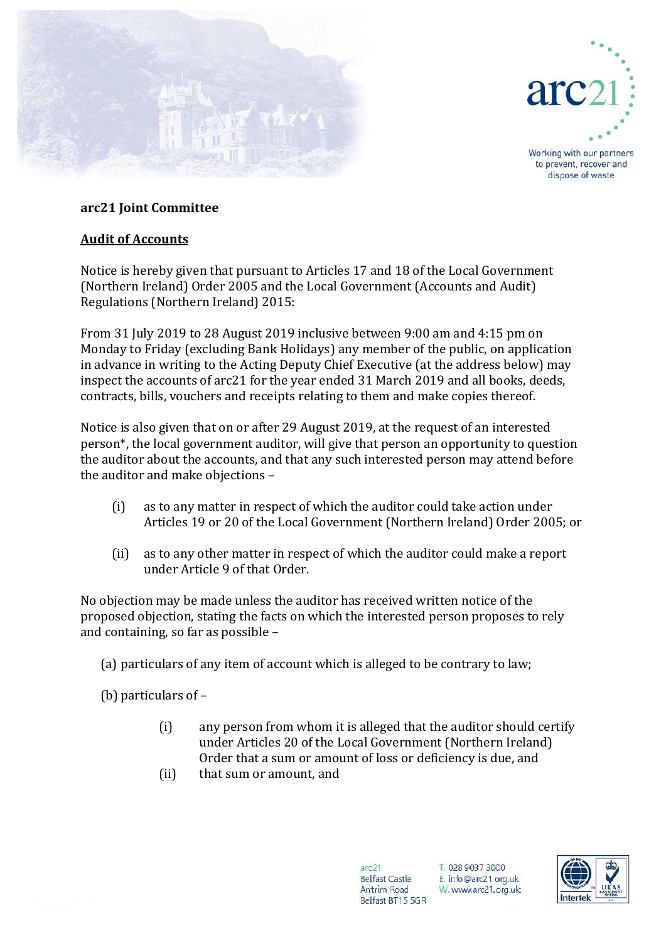



Working with our partners to prevent, recover and dispose of waste

## **arc21 Joint Committee**

## **Audit of Accounts**

Notice is hereby given that pursuant to Articles 17 and 18 of the Local Government (Northern Ireland) Order 2005 and the Local Government (Accounts and Audit) Regulations (Northern Ireland) 2015:

From 31 July 2019 to 28 August 2019 inclusive between 9:00 am and 4:15 pm on Monday to Friday (excluding Bank Holidays) any member of the public, on application in advance in writing to the Acting Deputy Chief Executive (at the address below) may inspect the accounts of arc21 for the year ended 31 March 2019 and all books, deeds, contracts, bills, vouchers and receipts relating to them and make copies thereof.

Notice is also given that on or after 29 August 2019, at the request of an interested person\*, the local government auditor, will give that person an opportunity to question the auditor about the accounts, and that any such interested person may attend before the auditor and make objections –

- (i) as to any matter in respect of which the auditor could take action under Articles 19 or 20 of the Local Government (Northern Ireland) Order 2005; or
- (ii) as to any other matter in respect of which the auditor could make a report under Article 9 of that Order.

No objection may be made unless the auditor has received written notice of the proposed objection, stating the facts on which the interested person proposes to rely and containing, so far as possible –

(a) particulars of any item of account which is alleged to be contrary to law;

(b) particulars of –

- (i) any person from whom it is alleged that the auditor should certify under Articles 20 of the Local Government (Northern Ireland) Order that a sum or amount of loss or deficiency is due, and
- (ii) that sum or amount, and

 $arc21$ **Belfast Castle** Antrim Road Belfast BT15 5GR T. 028 9037 3000 E. info@arc21.org.uk W. www.arc21.org.uk